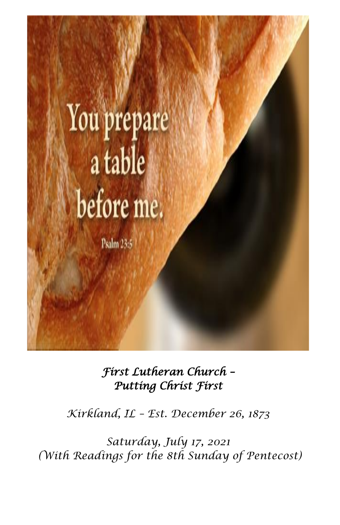

*First Lutheran Church – Putting Christ First* 

*Kirkland, IL – Est. December 26, 1873*

*Saturday, July 17, 2021 (With Readings for the 8th Sunday of Pentecost)*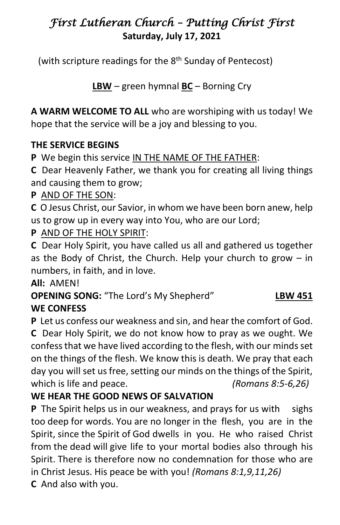# *First Lutheran Church – Putting Christ First*  **Saturday, July 17, 2021**

(with scripture readings for the 8<sup>th</sup> Sunday of Pentecost)

**LBW** – green hymnal **BC** – Borning Cry

**A WARM WELCOME TO ALL** who are worshiping with us today! We hope that the service will be a joy and blessing to you.

## **THE SERVICE BEGINS**

**P** We begin this service IN THE NAME OF THE FATHER:

**C** Dear Heavenly Father, we thank you for creating all living things and causing them to grow;

**P** AND OF THE SON:

**C** O Jesus Christ, our Savior, in whom we have been born anew, help us to grow up in every way into You, who are our Lord;

# **P** AND OF THE HOLY SPIRIT:

**C** Dear Holy Spirit, you have called us all and gathered us together as the Body of Christ, the Church. Help your church to grow – in numbers, in faith, and in love.

**All:** AMEN!

**OPENING SONG:** "The Lord's My Shepherd" **LBW 451 WE CONFESS**

**P** Let us confess our weakness and sin, and hear the comfort of God. **C** Dear Holy Spirit, we do not know how to pray as we ought. We confess that we have lived according to the flesh, with our minds set on the things of the flesh. We know this is death. We pray that each day you will set us free, setting our minds on the things of the Spirit, which is life and peace. *(Romans 8:5-6,26)* 

# **WE HEAR THE GOOD NEWS OF SALVATION**

**P** The Spirit helps us in our weakness, and prays for us with sighs too deep for words. You are no longer in the flesh, you are in the Spirit, since the Spirit of God dwells in you. He who raised Christ from the dead will give life to your mortal bodies also through his Spirit. There is therefore now no condemnation for those who are in Christ Jesus. His peace be with you! *(Romans 8:1,9,11,26)*

**C** And also with you.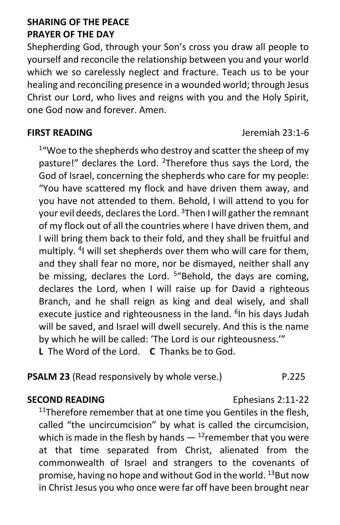### **SHARING OF THE PEACE PRAYER OF THE DAY**

Shepherding God, through your Son's cross you draw all people to yourself and reconcile the relationship between you and your world which we so carelessly neglect and fracture. Teach us to be your healing and reconciling presence in a wounded world; through Jesus Christ our Lord, who lives and reigns with you and the Holy Spirit, one God now and forever. Amen.

<sup>1</sup> "Woe to the shepherds who destroy and scatter the sheep of my pasture!" declares the Lord. <sup>2</sup>Therefore thus says the Lord, the God of Israel, concerning the shepherds who care for my people: "You have scattered my flock and have driven them away, and you have not attended to them. Behold, I will attend to you for your evil deeds, declares the Lord. <sup>3</sup>Then I will gather the remnant of my flock out of all the countries where I have driven them, and I will bring them back to their fold, and they shall be fruitful and multiply. <sup>4</sup>I will set shepherds over them who will care for them, and they shall fear no more, nor be dismayed, neither shall any be missing, declares the Lord. <sup>5</sup>"Behold, the days are coming, declares the Lord, when I will raise up for David a righteous Branch, and he shall reign as king and deal wisely, and shall execute justice and righteousness in the land. <sup>6</sup>In his days Judah will be saved, and Israel will dwell securely. And this is the name by which he will be called: 'The Lord is our righteousness.'"

**L** The Word of the Lord. **C** Thanks be to God.

## **PSALM 23** (Read responsively by whole verse.) P.225

#### **SECOND READING** Ephesians 2:11-22

 $11$ Therefore remember that at one time you Gentiles in the flesh, called "the uncircumcision" by what is called the circumcision, which is made in the flesh by hands  $-$  <sup>12</sup>remember that you were at that time separated from Christ, alienated from the commonwealth of Israel and strangers to the covenants of promise, having no hope and without God in the world. <sup>13</sup>But now in Christ Jesus you who once were far off have been brought near

**FIRST READING** Jeremiah 23:1-6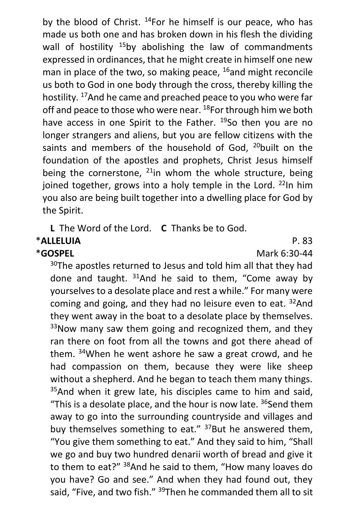by the blood of Christ. <sup>14</sup>For he himself is our peace, who has made us both one and has broken down in his flesh the dividing wall of hostility  $15$ by abolishing the law of commandments expressed in ordinances, that he might create in himself one new man in place of the two, so making peace,  $^{16}$ and might reconcile us both to God in one body through the cross, thereby killing the hostility. <sup>17</sup>And he came and preached peace to you who were far off and peace to those who were near. <sup>18</sup>For through him we both have access in one Spirit to the Father. <sup>19</sup>So then you are no longer strangers and aliens, but you are fellow citizens with the saints and members of the household of God,  $20$  built on the foundation of the apostles and prophets, Christ Jesus himself being the cornerstone,  $^{21}$ in whom the whole structure, being joined together, grows into a holy temple in the Lord.  $^{22}$ In him you also are being built together into a dwelling place for God by the Spirit.

**L** The Word of the Lord. **C** Thanks be to God.

# \***ALLELUIA** P. 83

\***GOSPEL** Mark 6:30-44

<sup>30</sup>The apostles returned to Jesus and told him all that they had done and taught.  $31$ And he said to them, "Come away by yourselves to a desolate place and rest a while." For many were coming and going, and they had no leisure even to eat. <sup>32</sup>And they went away in the boat to a desolate place by themselves.  $33$ Now many saw them going and recognized them, and they ran there on foot from all the towns and got there ahead of them. <sup>34</sup>When he went ashore he saw a great crowd, and he had compassion on them, because they were like sheep without a shepherd. And he began to teach them many things. <sup>35</sup>And when it grew late, his disciples came to him and said, "This is a desolate place, and the hour is now late.  $36$ Send them away to go into the surrounding countryside and villages and buy themselves something to eat."  $37$ But he answered them, "You give them something to eat." And they said to him, "Shall we go and buy two hundred denarii worth of bread and give it to them to eat?" <sup>38</sup>And he said to them, "How many loaves do you have? Go and see." And when they had found out, they said, "Five, and two fish." <sup>39</sup>Then he commanded them all to sit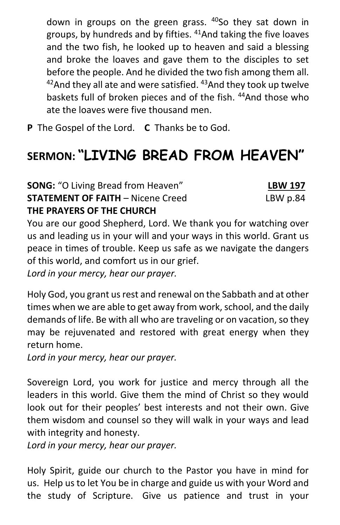down in groups on the green grass. <sup>40</sup>So they sat down in groups, by hundreds and by fifties. <sup>41</sup>And taking the five loaves and the two fish, he looked up to heaven and said a blessing and broke the loaves and gave them to the disciples to set before the people. And he divided the two fish among them all.  $42$ And they all ate and were satisfied.  $43$ And they took up twelve baskets full of broken pieces and of the fish. <sup>44</sup>And those who ate the loaves were five thousand men.

**P** The Gospel of the Lord. **C** Thanks be to God.

# **SERMON: "LIVING BREAD FROM HEAVEN"**

**SONG:** "O Living Bread from Heaven" **LBW 197 STATEMENT OF FAITH** – Nicene Creed LBW p.84 **THE PRAYERS OF THE CHURCH**

# You are our good Shepherd, Lord. We thank you for watching over us and leading us in your will and your ways in this world. Grant us peace in times of trouble. Keep us safe as we navigate the dangers of this world, and comfort us in our grief.

*Lord in your mercy, hear our prayer.*

Holy God, you grant us rest and renewal on the Sabbath and at other times when we are able to get away from work, school, and the daily demands of life. Be with all who are traveling or on vacation, so they may be rejuvenated and restored with great energy when they return home.

*Lord in your mercy, hear our prayer.*

Sovereign Lord, you work for justice and mercy through all the leaders in this world. Give them the mind of Christ so they would look out for their peoples' best interests and not their own. Give them wisdom and counsel so they will walk in your ways and lead with integrity and honesty.

*Lord in your mercy, hear our prayer.*

Holy Spirit, guide our church to the Pastor you have in mind for us. Help us to let You be in charge and guide us with your Word and the study of Scripture. Give us patience and trust in your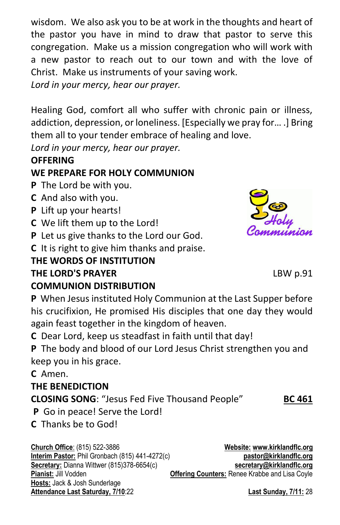wisdom. We also ask you to be at work in the thoughts and heart of the pastor you have in mind to draw that pastor to serve this congregation. Make us a mission congregation who will work with a new pastor to reach out to our town and with the love of Christ. Make us instruments of your saving work.

*Lord in your mercy, hear our prayer.*

Healing God, comfort all who suffer with chronic pain or illness, addiction, depression, or loneliness. [Especially we pray for… .] Bring them all to your tender embrace of healing and love.

*Lord in your mercy, hear our prayer.*

## **OFFERING**

## **WE PREPARE FOR HOLY COMMUNION**

- **P** The Lord be with you.
- **C** And also with you.
- **P** Lift up your hearts!
- **C** We lift them up to the Lord!
- **P** Let us give thanks to the Lord our God.
- **C** It is right to give him thanks and praise.

# **THE WORDS OF INSTITUTION**

#### **THE LORD'S PRAYER** LBW p.91 **COMMUNION DISTRIBUTION**

**P** When Jesus instituted Holy Communion at the Last Supper before his crucifixion, He promised His disciples that one day they would again feast together in the kingdom of heaven.

**C** Dear Lord, keep us steadfast in faith until that day!

**P** The body and blood of our Lord Jesus Christ strengthen you and keep you in his grace.

**C** Amen.

#### **THE BENEDICTION**

**CLOSING SONG**: "Jesus Fed Five Thousand People" **BC 461**

**P** Go in peace! Serve the Lord!

**C** Thanks be to God!

**Church Office**: (815) 522-3886 **Website: [www.kirklandflc.org](http://www.kirklandflc.org/) Interim Pastor:** Phil Gronbach (815) 441-4272(c) **[pastor@kirklandflc.org](mailto:pastor@kirklandflc.org) Secretary:** Dianna Wittwer (815)378-6654(c) **[secretary@kirklandflc.org](mailto:secretary@kirklandflc.org) Pianist:** Jill Vodden **Offering Counters:** Renee Krabbe and Lisa Coyle **Hosts:** Jack & Josh Sunderlage **Attendance Last Saturday, 7/10**:22 **Last Sunday, 7/11:** 28

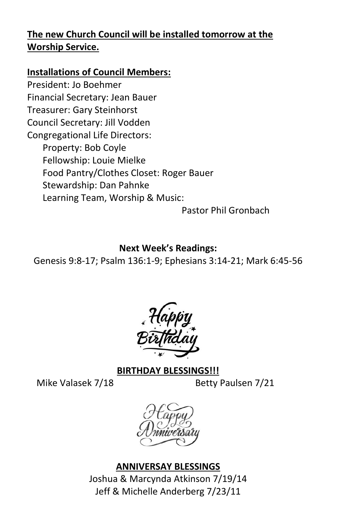# **The new Church Council will be installed tomorrow at the Worship Service.**

#### **Installations of Council Members:**

President: Jo Boehmer Financial Secretary: Jean Bauer Treasurer: Gary Steinhorst Council Secretary: Jill Vodden Congregational Life Directors: Property: Bob Coyle Fellowship: Louie Mielke Food Pantry/Clothes Closet: Roger Bauer Stewardship: Dan Pahnke Learning Team, Worship & Music:

Pastor Phil Gronbach

#### **Next Week's Readings:**

Genesis 9:8-17; Psalm 136:1-9; Ephesians 3:14-21; Mark 6:45-56



#### **BIRTHDAY BLESSINGS!!!**

Mike Valasek 7/18 Betty Paulsen 7/21

#### **ANNIVERSAY BLESSINGS**

Joshua & Marcynda Atkinson 7/19/14 Jeff & Michelle Anderberg 7/23/11